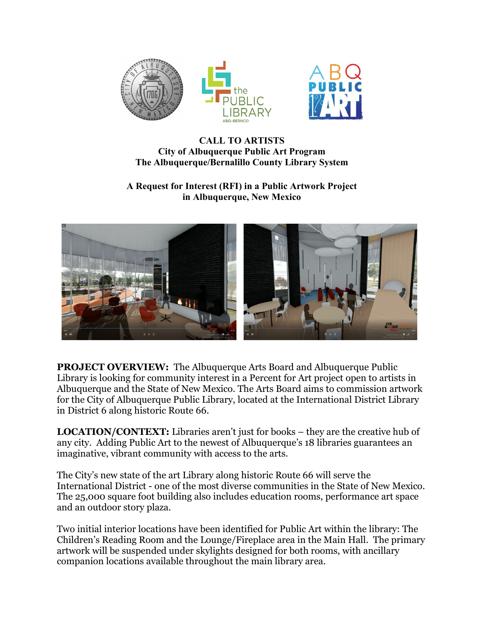

## **CALL TO ARTISTS City of Albuquerque Public Art Program The Albuquerque/Bernalillo County Library System**

## **A Request for Interest (RFI) in a Public Artwork Project in Albuquerque, New Mexico**



**PROJECT OVERVIEW:** The Albuquerque Arts Board and Albuquerque Public Library is looking for community interest in a Percent for Art project open to artists in Albuquerque and the State of New Mexico. The Arts Board aims to commission artwork for the City of Albuquerque Public Library, located at the International District Library in District 6 along historic Route 66.

**LOCATION/CONTEXT:** Libraries aren't just for books – they are the creative hub of any city. Adding Public Art to the newest of Albuquerque's 18 libraries guarantees an imaginative, vibrant community with access to the arts.

The City's new state of the art Library along historic Route 66 will serve the International District - one of the most diverse communities in the State of New Mexico. The 25,000 square foot building also includes education rooms, performance art space and an outdoor story plaza.

Two initial interior locations have been identified for Public Art within the library: The Children's Reading Room and the Lounge/Fireplace area in the Main Hall. The primary artwork will be suspended under skylights designed for both rooms, with ancillary companion locations available throughout the main library area.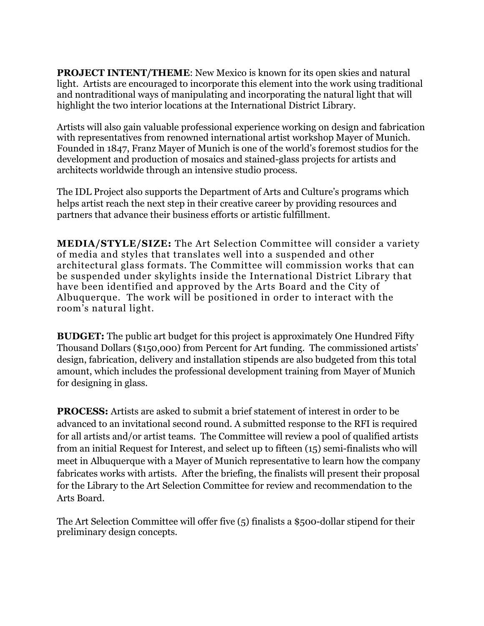**PROJECT INTENT/THEME**: New Mexico is known for its open skies and natural light. Artists are encouraged to incorporate this element into the work using traditional and nontraditional ways of manipulating and incorporating the natural light that will highlight the two interior locations at the International District Library.

Artists will also gain valuable professional experience working on design and fabrication with representatives from renowned international artist workshop Mayer of Munich. Founded in 1847, Franz Mayer of Munich is one of the world's foremost studios for the development and production of mosaics and stained-glass projects for artists and architects worldwide through an intensive studio process.

The IDL Project also supports the Department of Arts and Culture's programs which helps artist reach the next step in their creative career by providing resources and partners that advance their business efforts or artistic fulfillment.

**MEDIA/STYLE/SIZE:** The Art Selection Committee will consider a variety of media and styles that translates well into a suspended and other architectural glass formats. The Committee will commission works that can be suspended under skylights inside the International District Library that have been identified and approved by the Arts Board and the City of Albuquerque. The work will be positioned in order to interact with the room's natural light.

**BUDGET:** The public art budget for this project is approximately One Hundred Fifty Thousand Dollars (\$150,000) from Percent for Art funding. The commissioned artists' design, fabrication, delivery and installation stipends are also budgeted from this total amount, which includes the professional development training from Mayer of Munich for designing in glass.

**PROCESS:** Artists are asked to submit a brief statement of interest in order to be advanced to an invitational second round. A submitted response to the RFI is required for all artists and/or artist teams. The Committee will review a pool of qualified artists from an initial Request for Interest, and select up to fifteen (15) semi-finalists who will meet in Albuquerque with a Mayer of Munich representative to learn how the company fabricates works with artists. After the briefing, the finalists will present their proposal for the Library to the Art Selection Committee for review and recommendation to the Arts Board.

The Art Selection Committee will offer five (5) finalists a \$500-dollar stipend for their preliminary design concepts.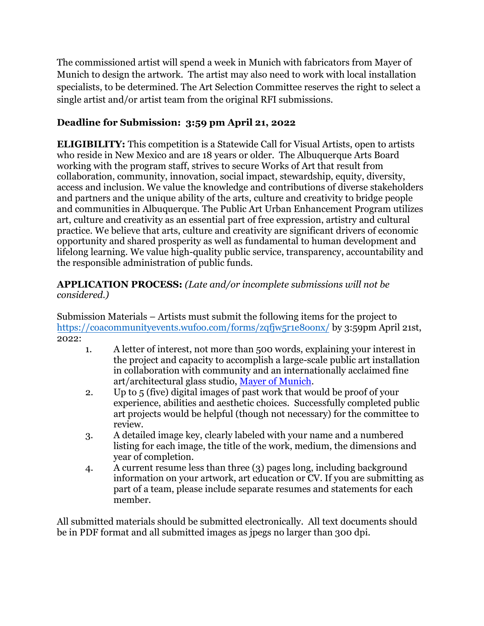The commissioned artist will spend a week in Munich with fabricators from Mayer of Munich to design the artwork. The artist may also need to work with local installation specialists, to be determined. The Art Selection Committee reserves the right to select a single artist and/or artist team from the original RFI submissions.

## **Deadline for Submission: 3:59 pm April 21, 2022**

**ELIGIBILITY:** This competition is a Statewide Call for Visual Artists, open to artists who reside in New Mexico and are 18 years or older. The Albuquerque Arts Board working with the program staff, strives to secure Works of Art that result from collaboration, community, innovation, social impact, stewardship, equity, diversity, access and inclusion. We value the knowledge and contributions of diverse stakeholders and partners and the unique ability of the arts, culture and creativity to bridge people and communities in Albuquerque. The Public Art Urban Enhancement Program utilizes art, culture and creativity as an essential part of free expression, artistry and cultural practice. We believe that arts, culture and creativity are significant drivers of economic opportunity and shared prosperity as well as fundamental to human development and lifelong learning. We value high-quality public service, transparency, accountability and the responsible administration of public funds.

## **APPLICATION PROCESS:** *(Late and/or incomplete submissions will not be considered.)*

Submission Materials – Artists must submit the following items for the project to [https://coacommuni](mailto:publicart@cabq.gov)tyevents.wufoo.com/forms/zqfjw5r1e8oonx/ by 3:59pm April 21st, 2022:

- 1. A letter of interest, not more than 500 words, explaining your interest in the project and capacity to accomplish a large-scale public art installation in collaboration with community and an internationally acclaimed fine art/architectural glass studio, [Mayer of Munich.](https://mayersche-hofkunst.de/en)
- 2. Up to 5 (five) digital images of past work that would be proof of your experience, abilities and aesthetic choices. Successfully completed public art projects would be helpful (though not necessary) for the committee to review.
- 3. A detailed image key, clearly labeled with your name and a numbered listing for each image, the title of the work, medium, the dimensions and year of completion.
- 4. A current resume less than three (3) pages long, including background information on your artwork, art education or CV. If you are submitting as part of a team, please include separate resumes and statements for each member.

All submitted materials should be submitted electronically. All text documents should be in PDF format and all submitted images as jpegs no larger than 300 dpi.